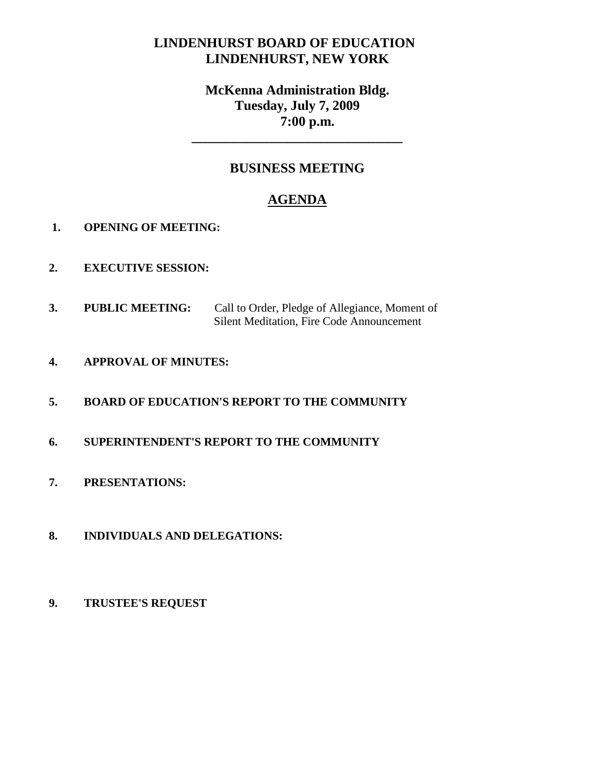# **LINDENHURST BOARD OF EDUCATION LINDENHURST, NEW YORK**

# **McKenna Administration Bldg. Tuesday, July 7, 2009 7:00 p.m.**

**\_\_\_\_\_\_\_\_\_\_\_\_\_\_\_\_\_\_\_\_\_\_\_\_\_\_\_\_\_\_\_**

# **BUSINESS MEETING**

# **AGENDA**

- **1. OPENING OF MEETING:**
- **2. EXECUTIVE SESSION:**
- **3. PUBLIC MEETING:** Call to Order, Pledge of Allegiance, Moment of Silent Meditation, Fire Code Announcement
- **4. APPROVAL OF MINUTES:**
- **5. BOARD OF EDUCATION'S REPORT TO THE COMMUNITY**
- **6. SUPERINTENDENT'S REPORT TO THE COMMUNITY**
- **7. PRESENTATIONS:**
- **8. INDIVIDUALS AND DELEGATIONS:**
- **9. TRUSTEE'S REQUEST**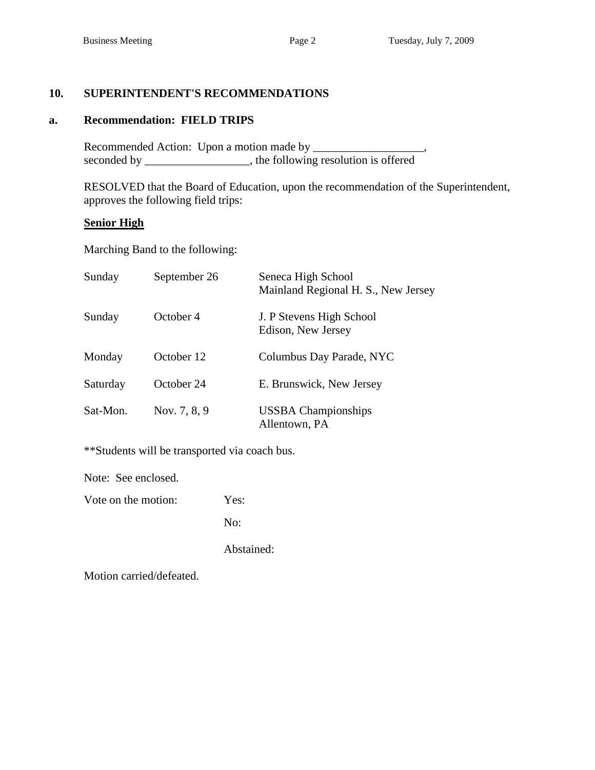### **10. SUPERINTENDENT'S RECOMMENDATIONS**

### **a. Recommendation: FIELD TRIPS**

Recommended Action: Upon a motion made by \_\_\_\_\_\_\_\_\_\_ seconded by \_\_\_\_\_\_\_\_\_\_\_\_\_, the following resolution is offered  $\overline{\phantom{a}}$ ,

RESOLVED that the Board of Education, upon the recommendation of the Superintendent, approves the following field trips:

#### **Senior High**

Marching Band to the following:

| Sunday   | September 26 | Seneca High School<br>Mainland Regional H. S., New Jersey |
|----------|--------------|-----------------------------------------------------------|
| Sunday   | October 4    | J. P Stevens High School<br>Edison, New Jersey            |
| Monday   | October 12   | Columbus Day Parade, NYC                                  |
| Saturday | October 24   | E. Brunswick, New Jersey                                  |
| Sat-Mon. | Nov. 7, 8, 9 | <b>USSBA Championships</b><br>Allentown, PA               |

\*\*Students will be transported via coach bus.

Note: See enclosed.

Vote on the motion: Yes:

No:

Abstained:

Motion carried/defeated.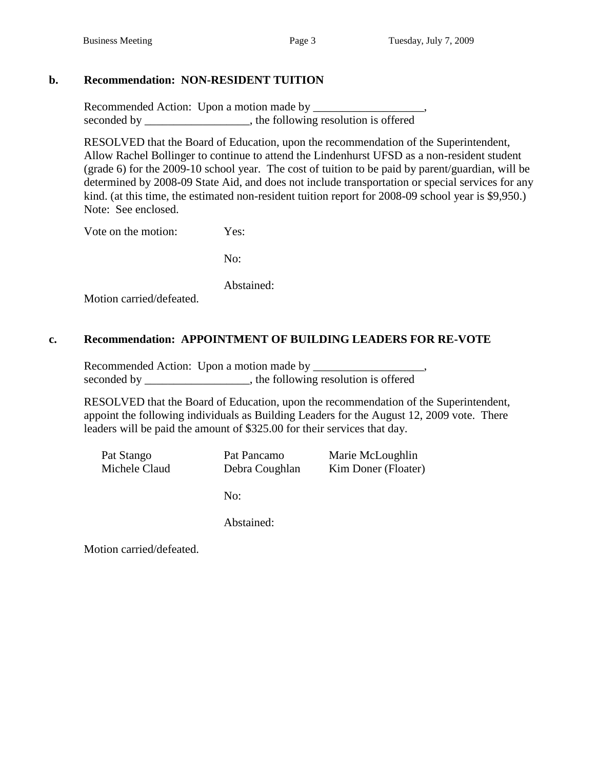### **b. Recommendation: NON-RESIDENT TUITION**

Recommended Action: Upon a motion made by \_\_\_\_\_\_\_\_\_\_\_\_\_\_\_\_\_\_\_, seconded by \_\_\_\_\_\_\_\_\_\_\_\_\_\_\_\_\_, the following resolution is offered

RESOLVED that the Board of Education, upon the recommendation of the Superintendent, Allow Rachel Bollinger to continue to attend the Lindenhurst UFSD as a non-resident student (grade 6) for the 2009-10 school year. The cost of tuition to be paid by parent/guardian, will be determined by 2008-09 State Aid, and does not include transportation or special services for any kind. (at this time, the estimated non-resident tuition report for 2008-09 school year is \$9,950.) Note: See enclosed.

Vote on the motion: Yes:

No:

Abstained:

Motion carried/defeated.

#### **c. Recommendation: APPOINTMENT OF BUILDING LEADERS FOR RE-VOTE**

Recommended Action: Upon a motion made by \_\_\_\_\_\_\_\_\_\_\_\_\_\_\_\_\_\_\_, seconded by \_\_\_\_\_\_\_\_\_\_\_\_\_\_\_\_\_, the following resolution is offered

RESOLVED that the Board of Education, upon the recommendation of the Superintendent, appoint the following individuals as Building Leaders for the August 12, 2009 vote. There leaders will be paid the amount of \$325.00 for their services that day.

| Pat Stango    | Pat Pancamo    | Marie McLoughlin    |
|---------------|----------------|---------------------|
| Michele Claud | Debra Coughlan | Kim Doner (Floater) |

No:

Abstained:

Motion carried/defeated.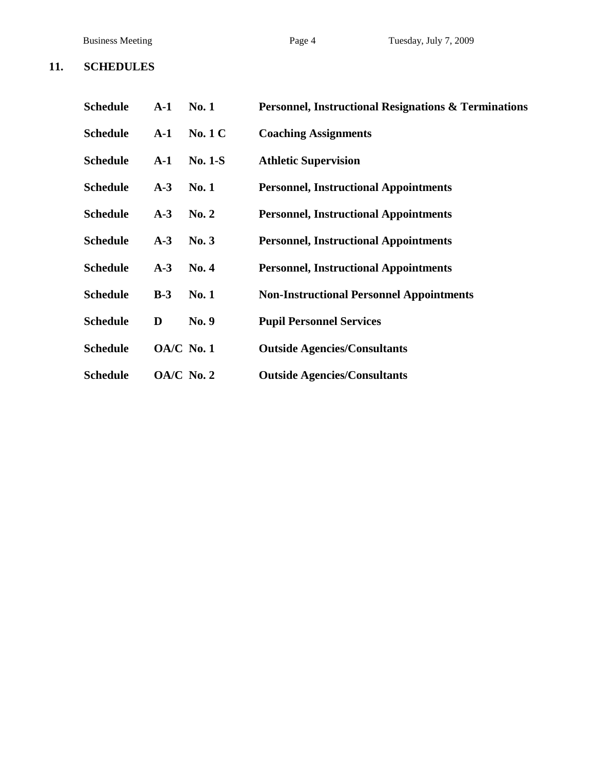# **11. SCHEDULES**

| <b>Schedule</b> | $A-1$        | No.1           | Personnel, Instructional Resignations & Terminations |
|-----------------|--------------|----------------|------------------------------------------------------|
| <b>Schedule</b> | $A-1$        | <b>No. 1 C</b> | <b>Coaching Assignments</b>                          |
| <b>Schedule</b> | $A-1$        | <b>No. 1-S</b> | <b>Athletic Supervision</b>                          |
| <b>Schedule</b> | $A-3$        | No.1           | <b>Personnel, Instructional Appointments</b>         |
| <b>Schedule</b> | $A-3$        | No. 2          | <b>Personnel, Instructional Appointments</b>         |
| <b>Schedule</b> | $A-3$        | No. 3          | <b>Personnel, Instructional Appointments</b>         |
| <b>Schedule</b> | $A-3$        | No. 4          | <b>Personnel, Instructional Appointments</b>         |
| <b>Schedule</b> | $B-3$        | No.1           | <b>Non-Instructional Personnel Appointments</b>      |
| <b>Schedule</b> | D            | No. 9          | <b>Pupil Personnel Services</b>                      |
| <b>Schedule</b> | $OA/C$ No. 1 |                | <b>Outside Agencies/Consultants</b>                  |
| <b>Schedule</b> | $OA/C$ No. 2 |                | <b>Outside Agencies/Consultants</b>                  |